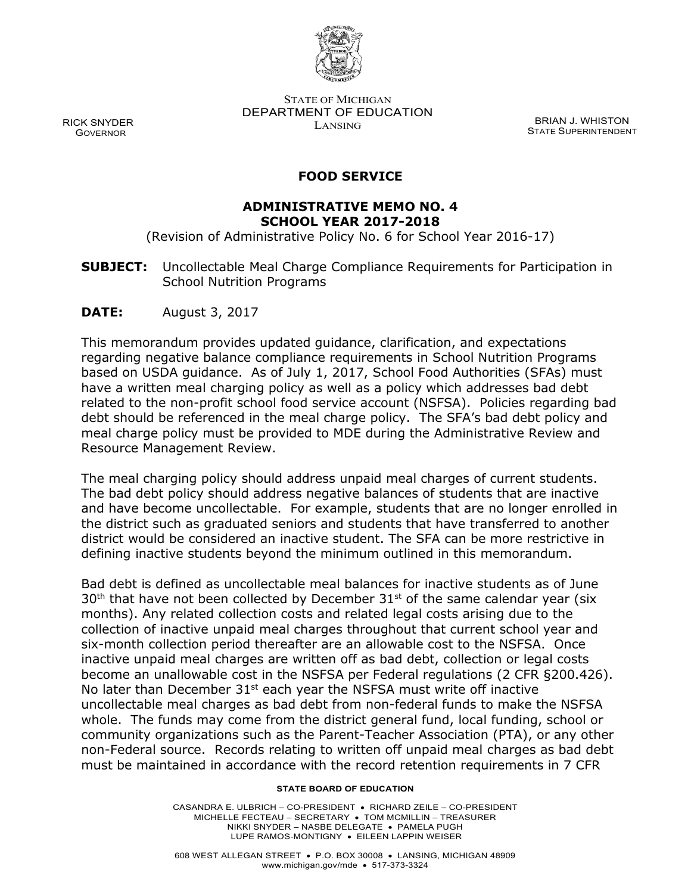

STATE OF MICHIGAN DEPARTMENT OF EDUCATION RICK SNYDER BRIAN J. WHISTON LANSING EXAMPLE THE CONTROL DESCRIPTION DESCRIPTION BRIAN J. WHISTON CK SNYDER<br>GOVERNOR GOVERNOR STATE SUPERINTENDENT

### **FOOD SERVICE**

### **ADMINISTRATIVE MEMO NO. 4 SCHOOL YEAR 2017-2018**

(Revision of Administrative Policy No. 6 for School Year 2016-17)

**SUBJECT:** Uncollectable Meal Charge Compliance Requirements for Participation in School Nutrition Programs

**DATE:** August 3, 2017

 based on USDA guidance. As of July 1, 2017, School Food Authorities (SFAs) must related to the non-profit school food service account (NSFSA). Policies regarding bad debt should be referenced in the meal charge policy. The SFA's bad debt policy and This memorandum provides updated guidance, clarification, and expectations regarding negative balance compliance requirements in School Nutrition Programs have a written meal charging policy as well as a policy which addresses bad debt meal charge policy must be provided to MDE during the Administrative Review and Resource Management Review.

The meal charging policy should address unpaid meal charges of current students. and have become uncollectable. For example, students that are no longer enrolled in The bad debt policy should address negative balances of students that are inactive the district such as graduated seniors and students that have transferred to another district would be considered an inactive student. The SFA can be more restrictive in defining inactive students beyond the minimum outlined in this memorandum.

 six-month collection period thereafter are an allowable cost to the NSFSA. Once become an unallowable cost in the NSFSA per Federal regulations (2 CFR §200.426).<br>No later than December 31<sup>st</sup> each year the NSFSA must write off inactive whole. The funds may come from the district general fund, local funding, school or non-Federal source. Records relating to written off unpaid meal charges as bad debt Bad debt is defined as uncollectable meal balances for inactive students as of June  $30<sup>th</sup>$  that have not been collected by December  $31<sup>st</sup>$  of the same calendar year (six months). Any related collection costs and related legal costs arising due to the collection of inactive unpaid meal charges throughout that current school year and inactive unpaid meal charges are written off as bad debt, collection or legal costs uncollectable meal charges as bad debt from non-federal funds to make the NSFSA community organizations such as the Parent-Teacher Association (PTA), or any other must be maintained in accordance with the record retention requirements in 7 CFR

#### **STATE BOARD OF EDUCATION**

 CASANDRA E. ULBRICH – CO-PRESIDENT • RICHARD ZEILE – CO-PRESIDENT MICHELLE FECTEAU – SECRETARY • TOM MCMILLIN – TREASURER NIKKI SNYDER – NASBE DELEGATE • PAMELA PUGH LUPE RAMOS-MONTIGNY • EILEEN LAPPIN WEISER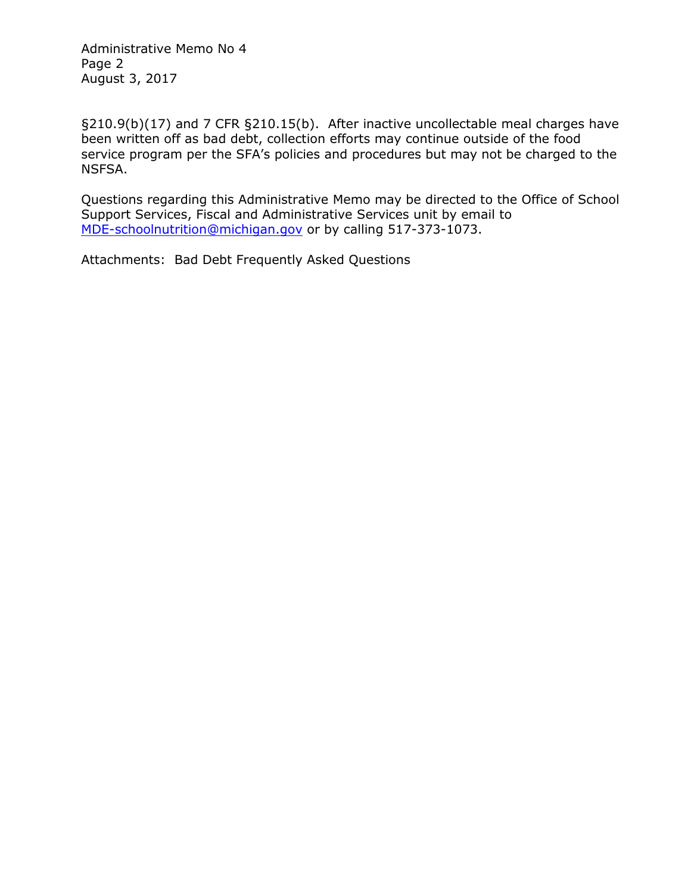Administrative Memo No 4 Page 2 August 3, 2017

 §210.9(b)(17) and 7 CFR §210.15(b). After inactive uncollectable meal charges have been written off as bad debt, collection efforts may continue outside of the food service program per the SFA's policies and procedures but may not be charged to the NSFSA.

Questions regarding this Administrative Memo may be directed to the Office of School Support Services, Fiscal and Administrative Services unit by email to [MDE-schoolnutrition@michigan.gov](mailto:MDE-schoolnutrition@michigan.gov) or by calling 517-373-1073.

Attachments: Bad Debt Frequently Asked Questions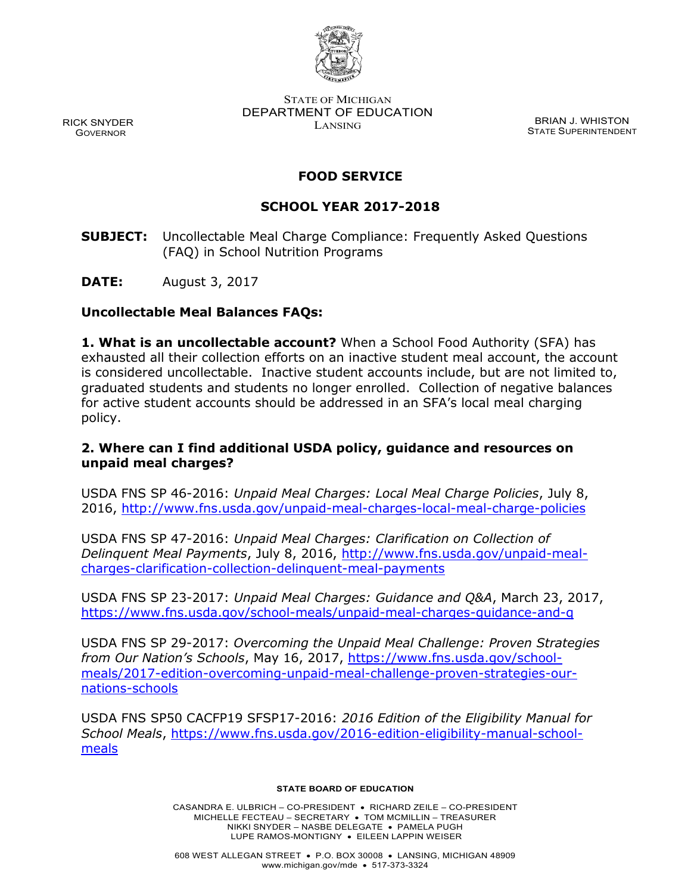

RICK SNYDER GOVERNOR

STATE OF MICHIGAN DEPARTMENT OF EDUCATION EXAMPLE 3 STRIPER STRIP BRIAN J. WHISTON

STATE SUPERINTENDENT

# **FOOD SERVICE**

## **SCHOOL YEAR 2017-2018**

- **SUBJECT:** Uncollectable Meal Charge Compliance: Frequently Asked Questions (FAQ) in School Nutrition Programs
- **DATE:** August 3, 2017

### **Uncollectable Meal Balances FAQs:**

**1. What is an uncollectable account?** When a School Food Authority (SFA) has exhausted all their collection efforts on an inactive student meal account, the account is considered uncollectable. Inactive student accounts include, but are not limited to, graduated students and students no longer enrolled. Collection of negative balances for active student accounts should be addressed in an SFA's local meal charging policy.

### **2. Where can I find additional USDA policy, guidance and resources on unpaid meal charges?**

USDA FNS SP 46-2016: *Unpaid Meal Charges: Local Meal Charge Policies*, July 8, 2016,<http://www.fns.usda.gov/unpaid-meal-charges-local-meal-charge-policies>

USDA FNS SP 47-2016: *Unpaid Meal Charges: Clarification on Collection of Delinquent Meal Payments*, July 8, 2016, [http://www.fns.usda.gov/unpaid-meal](http://www.fns.usda.gov/unpaid-meal-charges-clarification-collection-delinquent-meal-payments)[charges-clarification-collection-delinquent-meal-payments](http://www.fns.usda.gov/unpaid-meal-charges-clarification-collection-delinquent-meal-payments)

USDA FNS SP 23-2017: *Unpaid Meal Charges: Guidance and Q&A*, March 23, 2017, <https://www.fns.usda.gov/school-meals/unpaid-meal-charges-guidance-and-q>

USDA FNS SP 29-2017: *Overcoming the Unpaid Meal Challenge: Proven Strategies from Our Nation's Schools*, May 16, 2017, [https://www.fns.usda.gov/school](https://www.fns.usda.gov/school-meals/2017-edition-overcoming-unpaid-meal-challenge-proven-strategies-our-nations-schools)[meals/2017-edition-overcoming-unpaid-meal-challenge-proven-strategies-our](https://www.fns.usda.gov/school-meals/2017-edition-overcoming-unpaid-meal-challenge-proven-strategies-our-nations-schools)[nations-schools](https://www.fns.usda.gov/school-meals/2017-edition-overcoming-unpaid-meal-challenge-proven-strategies-our-nations-schools)

USDA FNS SP50 CACFP19 SFSP17-2016: *2016 Edition of the Eligibility Manual for School Meals*, [https://www.fns.usda.gov/2016-edition-eligibility-manual-school](https://www.fns.usda.gov/2016-edition-eligibility-manual-school-meals)[meals](https://www.fns.usda.gov/2016-edition-eligibility-manual-school-meals)

### **STATE BOARD OF EDUCATION**

CASANDRA E. ULBRICH – CO-PRESIDENT • RICHARD ZEILE – CO-PRESIDENT MICHELLE FECTEAU – SECRETARY • TOM MCMILLIN – TREASURER NIKKI SNYDER – NASBE DELEGATE • PAMELA PUGH LUPE RAMOS-MONTIGNY • EILEEN LAPPIN WEISER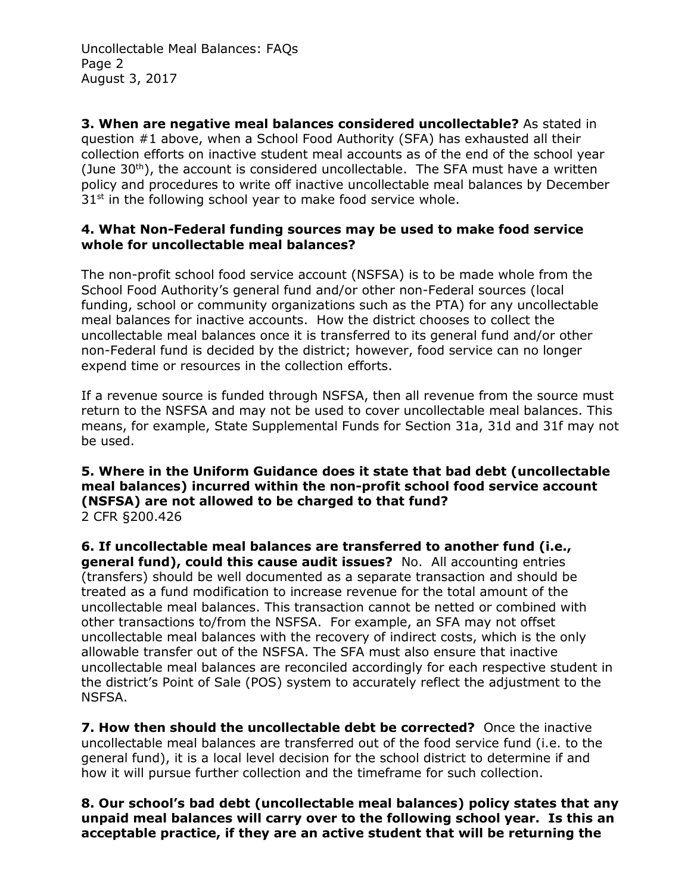Uncollectable Meal Balances: FAQs Page 2 August 3, 2017

**3. When are negative meal balances considered uncollectable?** As stated in question #1 above, when a School Food Authority (SFA) has exhausted all their collection efforts on inactive student meal accounts as of the end of the school year (June  $30<sup>th</sup>$ ), the account is considered uncollectable. The SFA must have a written policy and procedures to write off inactive uncollectable meal balances by December  $31<sup>st</sup>$  in the following school year to make food service whole.

### **4. What Non-Federal funding sources may be used to make food service whole for uncollectable meal balances?**

The non-profit school food service account (NSFSA) is to be made whole from the School Food Authority's general fund and/or other non-Federal sources (local funding, school or community organizations such as the PTA) for any uncollectable meal balances for inactive accounts. How the district chooses to collect the uncollectable meal balances once it is transferred to its general fund and/or other non-Federal fund is decided by the district; however, food service can no longer expend time or resources in the collection efforts.

If a revenue source is funded through NSFSA, then all revenue from the source must return to the NSFSA and may not be used to cover uncollectable meal balances. This means, for example, State Supplemental Funds for Section 31a, 31d and 31f may not be used.

### **5. Where in the Uniform Guidance does it state that bad debt (uncollectable meal balances) incurred within the non-profit school food service account (NSFSA) are not allowed to be charged to that fund?**  2 CFR §200.426

**6. If uncollectable meal balances are transferred to another fund (i.e., general fund), could this cause audit issues?** No. All accounting entries (transfers) should be well documented as a separate transaction and should be treated as a fund modification to increase revenue for the total amount of the uncollectable meal balances. This transaction cannot be netted or combined with other transactions to/from the NSFSA. For example, an SFA may not offset uncollectable meal balances with the recovery of indirect costs, which is the only allowable transfer out of the NSFSA. The SFA must also ensure that inactive uncollectable meal balances are reconciled accordingly for each respective student in the district's Point of Sale (POS) system to accurately reflect the adjustment to the NSFSA.

**7. How then should the uncollectable debt be corrected?** Once the inactive uncollectable meal balances are transferred out of the food service fund (i.e. to the general fund), it is a local level decision for the school district to determine if and how it will pursue further collection and the timeframe for such collection.

**8. Our school's bad debt (uncollectable meal balances) policy states that any unpaid meal balances will carry over to the following school year. Is this an acceptable practice, if they are an active student that will be returning the**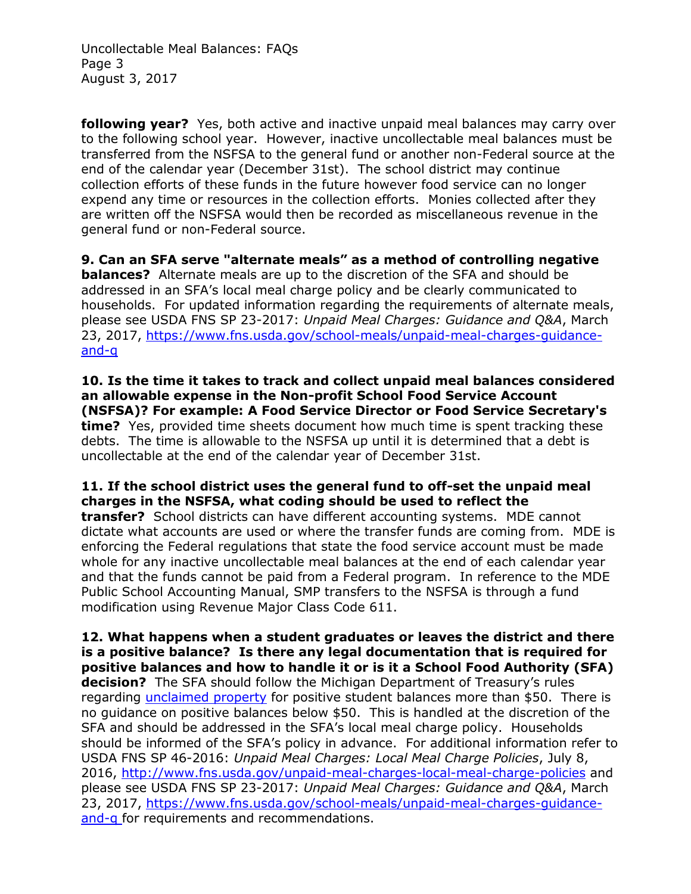Uncollectable Meal Balances: FAQs Page 3 August 3, 2017

**following year?** Yes, both active and inactive unpaid meal balances may carry over to the following school year. However, inactive uncollectable meal balances must be transferred from the NSFSA to the general fund or another non-Federal source at the end of the calendar year (December 31st). The school district may continue collection efforts of these funds in the future however food service can no longer expend any time or resources in the collection efforts. Monies collected after they are written off the NSFSA would then be recorded as miscellaneous revenue in the general fund or non-Federal source.

**9. Can an SFA serve "alternate meals" as a method of controlling negative balances?** Alternate meals are up to the discretion of the SFA and should be addressed in an SFA's local meal charge policy and be clearly communicated to households. For updated information regarding the requirements of alternate meals, please see USDA FNS SP 23-2017: *Unpaid Meal Charges: Guidance and Q&A*, March 23, 2017, [https://www.fns.usda.gov/school-meals/unpaid-meal-charges-guidance](https://www.fns.usda.gov/school-meals/unpaid-meal-charges-guidance-and-q)[and-q](https://www.fns.usda.gov/school-meals/unpaid-meal-charges-guidance-and-q)

**10. Is the time it takes to track and collect unpaid meal balances considered an allowable expense in the Non-profit School Food Service Account (NSFSA)? For example: A Food Service Director or Food Service Secretary's time?** Yes, provided time sheets document how much time is spent tracking these debts. The time is allowable to the NSFSA up until it is determined that a debt is uncollectable at the end of the calendar year of December 31st.

**11. If the school district uses the general fund to off-set the unpaid meal charges in the NSFSA, what coding should be used to reflect the transfer?** School districts can have different accounting systems. MDE cannot dictate what accounts are used or where the transfer funds are coming from. MDE is enforcing the Federal regulations that state the food service account must be made whole for any inactive uncollectable meal balances at the end of each calendar year and that the funds cannot be paid from a Federal program. In reference to the MDE Public School Accounting Manual, SMP transfers to the NSFSA is through a fund modification using Revenue Major Class Code 611.

**12. What happens when a student graduates or leaves the district and there is a positive balance? Is there any legal documentation that is required for positive balances and how to handle it or is it a School Food Authority (SFA) decision?** The SFA should follow the Michigan Department of Treasury's rules regarding [unclaimed property](http://www.michigan.gov/treasury/0,4679,7-121-44435_57507---,00.html) for positive student balances more than \$50.There is no guidance on positive balances below \$50. This is handled at the discretion of the SFA and should be addressed in the SFA's local meal charge policy. Households should be informed of the SFA's policy in advance. For additional information refer to USDA FNS SP 46-2016: *Unpaid Meal Charges: Local Meal Charge Policies*, July 8, 2016,<http://www.fns.usda.gov/unpaid-meal-charges-local-meal-charge-policies> and please see USDA FNS SP 23-2017: *Unpaid Meal Charges: Guidance and Q&A*, March 23, 2017, [https://www.fns.usda.gov/school-meals/unpaid-meal-charges-guidance](https://www.fns.usda.gov/school-meals/unpaid-meal-charges-guidance-and-q)[and-q](https://www.fns.usda.gov/school-meals/unpaid-meal-charges-guidance-and-q) for requirements and recommendations.